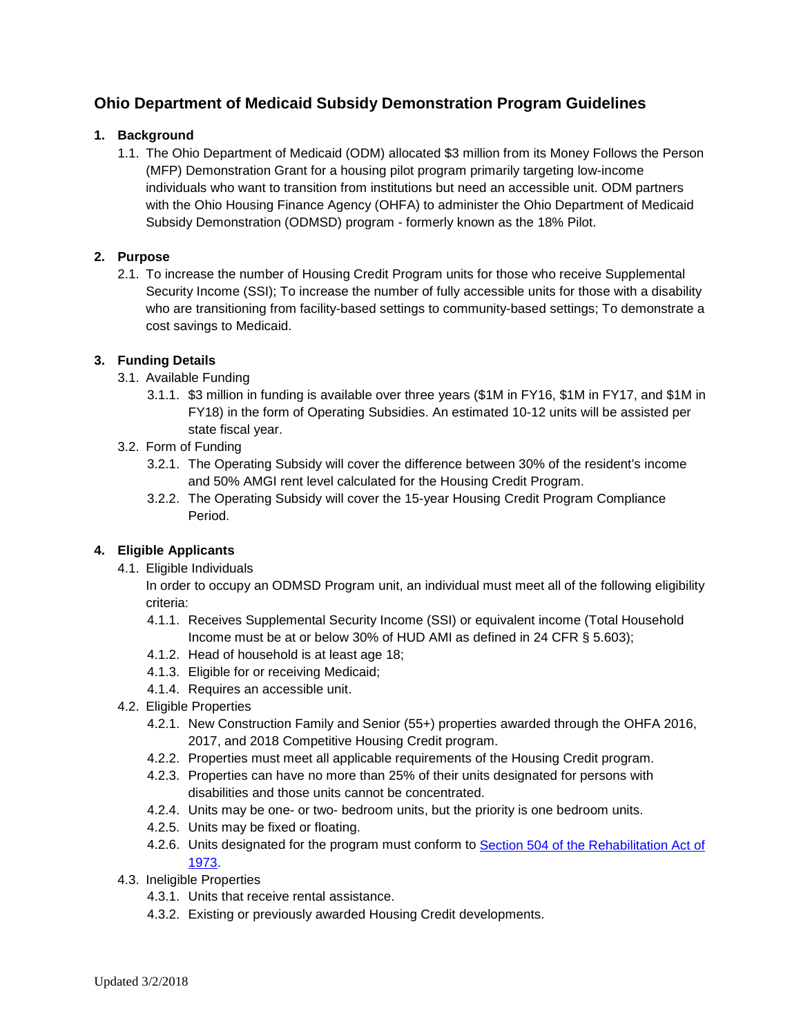# **Ohio Department of Medicaid Subsidy Demonstration Program Guidelines**

# **1. Background**

1.1. The Ohio Department of Medicaid (ODM) allocated \$3 million from its Money Follows the Person (MFP) Demonstration Grant for a housing pilot program primarily targeting low-income individuals who want to transition from institutions but need an accessible unit. ODM partners with the Ohio Housing Finance Agency (OHFA) to administer the Ohio Department of Medicaid Subsidy Demonstration (ODMSD) program - formerly known as the 18% Pilot.

# **2. Purpose**

2.1. To increase the number of Housing Credit Program units for those who receive Supplemental Security Income (SSI); To increase the number of fully accessible units for those with a disability who are transitioning from facility-based settings to community-based settings; To demonstrate a cost savings to Medicaid.

# **3. Funding Details**

- 3.1. Available Funding
	- 3.1.1. \$3 million in funding is available over three years (\$1M in FY16, \$1M in FY17, and \$1M in FY18) in the form of Operating Subsidies. An estimated 10-12 units will be assisted per state fiscal year.
- 3.2. Form of Funding
	- 3.2.1. The Operating Subsidy will cover the difference between 30% of the resident's income and 50% AMGI rent level calculated for the Housing Credit Program.
	- 3.2.2. The Operating Subsidy will cover the 15-year Housing Credit Program Compliance Period.

# **4. Eligible Applicants**

4.1. Eligible Individuals

In order to occupy an ODMSD Program unit, an individual must meet all of the following eligibility criteria:

- 4.1.1. Receives Supplemental Security Income (SSI) or equivalent income (Total Household Income must be at or below 30% of HUD AMI as defined in 24 CFR § 5.603);
- 4.1.2. Head of household is at least age 18;
- 4.1.3. Eligible for or receiving Medicaid;
- 4.1.4. Requires an accessible unit.
- 4.2. Eligible Properties
	- 4.2.1. New Construction Family and Senior (55+) properties awarded through the OHFA 2016, 2017, and 2018 Competitive Housing Credit program.
	- 4.2.2. Properties must meet all applicable requirements of the Housing Credit program.
	- 4.2.3. Properties can have no more than 25% of their units designated for persons with disabilities and those units cannot be concentrated.
	- 4.2.4. Units may be one- or two- bedroom units, but the priority is one bedroom units.
	- 4.2.5. Units may be fixed or floating.
	- 4.2.6. Units designated for the program must conform to [Section 504 of the Rehabilitation Act of](https://portal.hud.gov/hudportal/HUD?src=/program_offices/fair_housing_equal_opp/disabilities/sect504faq)  [1973.](https://portal.hud.gov/hudportal/HUD?src=/program_offices/fair_housing_equal_opp/disabilities/sect504faq)

4.3. Ineligible Properties

- 4.3.1. Units that receive rental assistance.
- 4.3.2. Existing or previously awarded Housing Credit developments.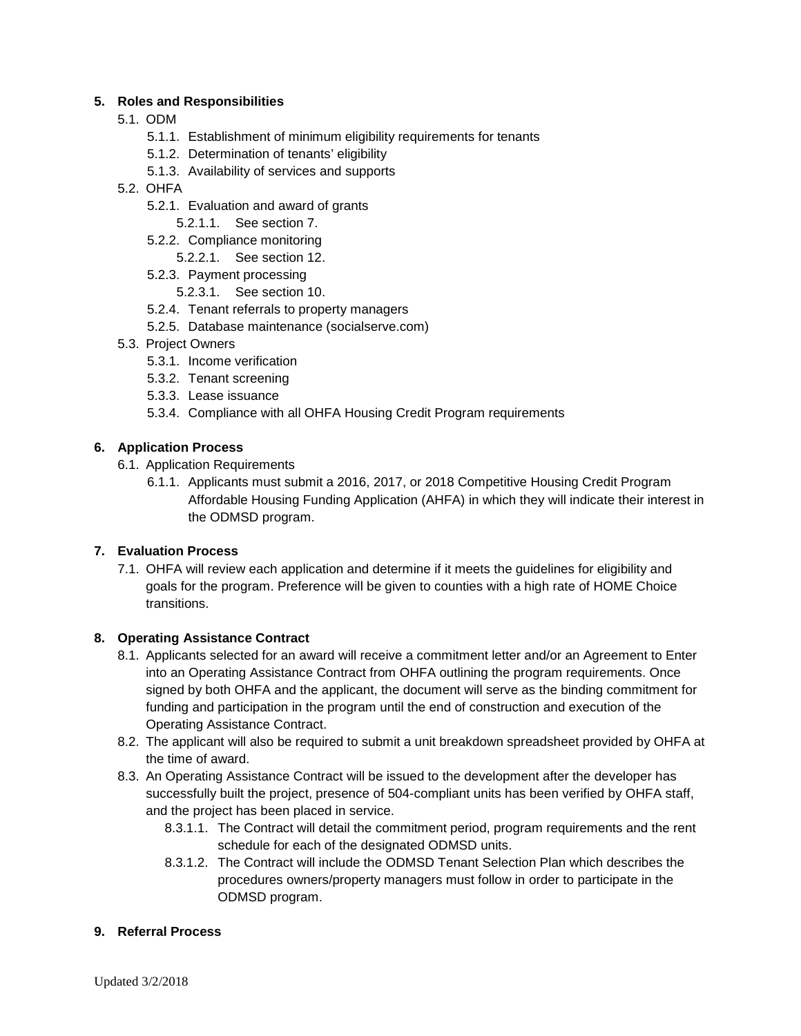#### **5. Roles and Responsibilities**

- 5.1. ODM
	- 5.1.1. Establishment of minimum eligibility requirements for tenants
	- 5.1.2. Determination of tenants' eligibility
	- 5.1.3. Availability of services and supports
- 5.2. OHFA
	- 5.2.1. Evaluation and award of grants
		- 5.2.1.1. See section 7.
	- 5.2.2. Compliance monitoring
		- 5.2.2.1. See section 12.
	- 5.2.3. Payment processing
		- 5.2.3.1. See section 10.
	- 5.2.4. Tenant referrals to property managers
	- 5.2.5. Database maintenance (socialserve.com)
- 5.3. Project Owners
	- 5.3.1. Income verification
	- 5.3.2. Tenant screening
	- 5.3.3. Lease issuance
	- 5.3.4. Compliance with all OHFA Housing Credit Program requirements

#### **6. Application Process**

- 6.1. Application Requirements
	- 6.1.1. Applicants must submit a 2016, 2017, or 2018 Competitive Housing Credit Program Affordable Housing Funding Application (AHFA) in which they will indicate their interest in the ODMSD program.

#### **7. Evaluation Process**

7.1. OHFA will review each application and determine if it meets the guidelines for eligibility and goals for the program. Preference will be given to counties with a high rate of HOME Choice transitions.

#### **8. Operating Assistance Contract**

- 8.1. Applicants selected for an award will receive a commitment letter and/or an Agreement to Enter into an Operating Assistance Contract from OHFA outlining the program requirements. Once signed by both OHFA and the applicant, the document will serve as the binding commitment for funding and participation in the program until the end of construction and execution of the Operating Assistance Contract.
- 8.2. The applicant will also be required to submit a unit breakdown spreadsheet provided by OHFA at the time of award.
- 8.3. An Operating Assistance Contract will be issued to the development after the developer has successfully built the project, presence of 504-compliant units has been verified by OHFA staff, and the project has been placed in service.
	- 8.3.1.1. The Contract will detail the commitment period, program requirements and the rent schedule for each of the designated ODMSD units.
	- 8.3.1.2. The Contract will include the ODMSD Tenant Selection Plan which describes the procedures owners/property managers must follow in order to participate in the ODMSD program.

#### **9. Referral Process**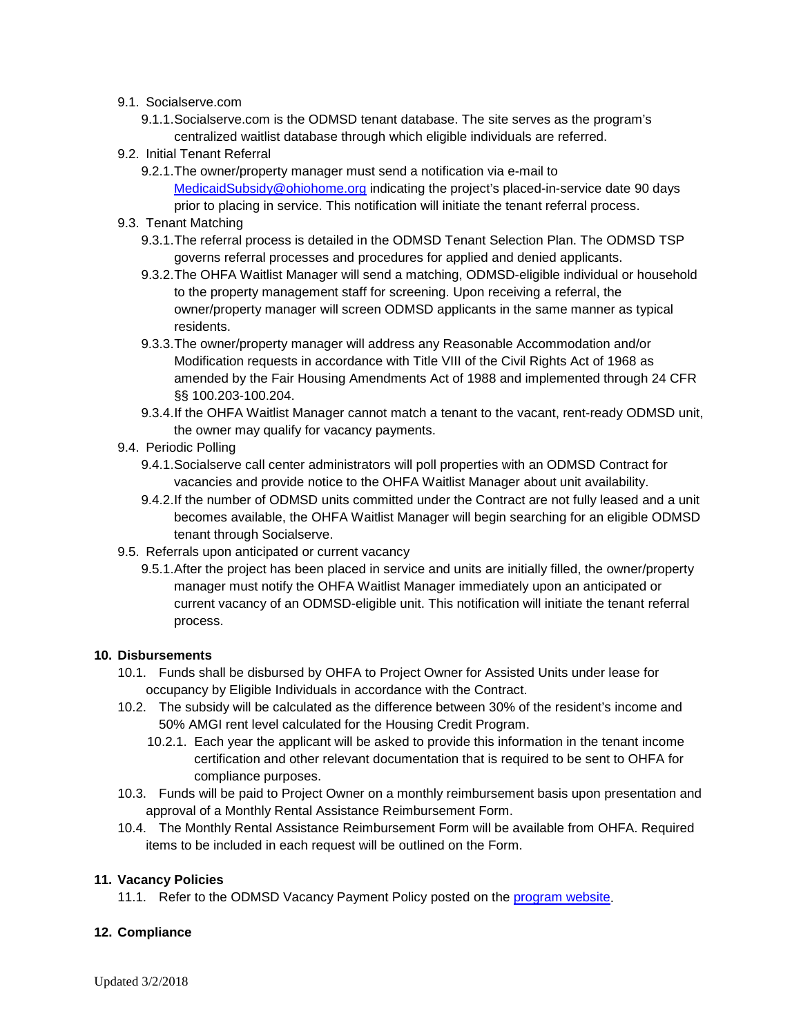#### 9.1. Socialserve.com

9.1.1.Socialserve.com is the ODMSD tenant database. The site serves as the program's centralized waitlist database through which eligible individuals are referred.

#### 9.2. Initial Tenant Referral

9.2.1.The owner/property manager must send a notification via e-mail to [MedicaidSubsidy@ohiohome.org](mailto:MedicaidSubsidy@ohiohome.org) indicating the project's placed-in-service date 90 days prior to placing in service. This notification will initiate the tenant referral process.

#### 9.3. Tenant Matching

- 9.3.1.The referral process is detailed in the ODMSD Tenant Selection Plan. The ODMSD TSP governs referral processes and procedures for applied and denied applicants.
- 9.3.2.The OHFA Waitlist Manager will send a matching, ODMSD-eligible individual or household to the property management staff for screening. Upon receiving a referral, the owner/property manager will screen ODMSD applicants in the same manner as typical residents.
- 9.3.3.The owner/property manager will address any Reasonable Accommodation and/or Modification requests in accordance with Title VIII of the Civil Rights Act of 1968 as amended by the Fair Housing Amendments Act of 1988 and implemented through 24 CFR §§ 100.203-100.204.
- 9.3.4.If the OHFA Waitlist Manager cannot match a tenant to the vacant, rent-ready ODMSD unit, the owner may qualify for vacancy payments.
- 9.4. Periodic Polling
	- 9.4.1.Socialserve call center administrators will poll properties with an ODMSD Contract for vacancies and provide notice to the OHFA Waitlist Manager about unit availability.
	- 9.4.2.If the number of ODMSD units committed under the Contract are not fully leased and a unit becomes available, the OHFA Waitlist Manager will begin searching for an eligible ODMSD tenant through Socialserve.
- 9.5. Referrals upon anticipated or current vacancy
	- 9.5.1.After the project has been placed in service and units are initially filled, the owner/property manager must notify the OHFA Waitlist Manager immediately upon an anticipated or current vacancy of an ODMSD-eligible unit. This notification will initiate the tenant referral process.

#### **10. Disbursements**

- 10.1. Funds shall be disbursed by OHFA to Project Owner for Assisted Units under lease for occupancy by Eligible Individuals in accordance with the Contract.
- 10.2. The subsidy will be calculated as the difference between 30% of the resident's income and 50% AMGI rent level calculated for the Housing Credit Program.
	- 10.2.1. Each year the applicant will be asked to provide this information in the tenant income certification and other relevant documentation that is required to be sent to OHFA for compliance purposes.
- 10.3. Funds will be paid to Project Owner on a monthly reimbursement basis upon presentation and approval of a Monthly Rental Assistance Reimbursement Form.
- 10.4. The Monthly Rental Assistance Reimbursement Form will be available from OHFA. Required items to be included in each request will be outlined on the Form.

#### **11. Vacancy Policies**

11.1. Refer to the ODMSD Vacancy Payment Policy posted on the [program website.](http://ohiohome.org/ppd/medicaid.aspx)

#### **12. Compliance**